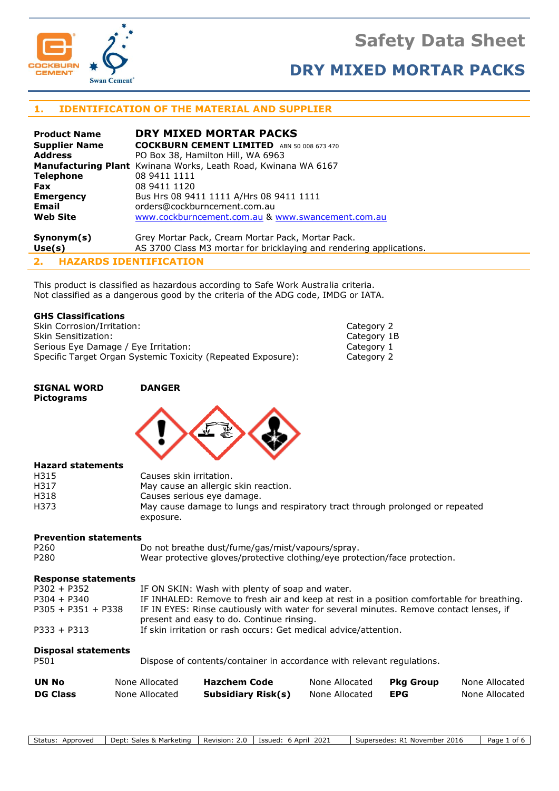# **Safety Data Sheet**



# **DRY MIXED MORTAR PACKS**

# **1. IDENTIFICATION OF THE MATERIAL AND SUPPLIER**

| <b>Product Name</b>  | DRY MIXED MORTAR PACKS                                                |
|----------------------|-----------------------------------------------------------------------|
| <b>Supplier Name</b> | <b>COCKBURN CEMENT LIMITED</b> ABN 50 008 673 470                     |
| <b>Address</b>       | PO Box 38, Hamilton Hill, WA 6963                                     |
|                      | <b>Manufacturing Plant</b> Kwinana Works, Leath Road, Kwinana WA 6167 |
| <b>Telephone</b>     | 08 9411 1111                                                          |
| <b>Fax</b>           | 08 9411 1120                                                          |
| <b>Emergency</b>     | Bus Hrs 08 9411 1111 A/Hrs 08 9411 1111                               |
| <b>Email</b>         | orders@cockburncement.com.au                                          |
| <b>Web Site</b>      | www.cockburncement.com.au & www.swancement.com.au                     |
| Symonym(s)           | Grey Mortar Pack, Cream Mortar Pack, Mortar Pack.                     |
| Use(s)               | AS 3700 Class M3 mortar for bricklaying and rendering applications.   |

**2. HAZARDS IDENTIFICATION**

This product is classified as hazardous according to Safe Work Australia criteria. Not classified as a dangerous good by the criteria of the ADG code, IMDG or IATA.

## **GHS Classifications**

Skin Corrosion/Irritation: Category 2 Skin Sensitization: Category 1B Serious Eye Damage / Eye Irritation: Category 1 Specific Target Organ Systemic Toxicity (Repeated Exposure): Category 2

## **SIGNAL WORD DANGER Pictograms**



### **Hazard statements**

| H315 | Causes skin irritation.                                                       |
|------|-------------------------------------------------------------------------------|
| H317 | May cause an allergic skin reaction.                                          |
| H318 | Causes serious eye damage.                                                    |
| H373 | May cause damage to lungs and respiratory tract through prolonged or repeated |
|      | exposure.                                                                     |

### **Prevention statements**

| P <sub>260</sub> | Do not breathe dust/fume/gas/mist/vapours/spray.                           |
|------------------|----------------------------------------------------------------------------|
| P280             | Wear protective gloves/protective clothing/eye protection/face protection. |

### **Response statements**

| $P302 + P352$        | IF ON SKIN: Wash with plenty of soap and water.                                           |
|----------------------|-------------------------------------------------------------------------------------------|
| $P304 + P340$        | IF INHALED: Remove to fresh air and keep at rest in a position comfortable for breathing. |
| $P305 + P351 + P338$ | IF IN EYES: Rinse cautiously with water for several minutes. Remove contact lenses, if    |
|                      | present and easy to do. Continue rinsing.                                                 |
| $P333 + P313$        | If skin irritation or rash occurs: Get medical advice/attention.                          |

## **Disposal statements**

P501 Dispose of contents/container in accordance with relevant regulations.

| UN No           | None Allocated | <b>Hazchem Code</b>       | None Allocated | Pka Group | None Allocated |
|-----------------|----------------|---------------------------|----------------|-----------|----------------|
| <b>DG Class</b> | None Allocated | <b>Subsidiary Risk(s)</b> | None Allocated | EPG       | None Allocated |

Status: Approved | Dept: Sales & Marketing | Revision: 2.0 | Issued: 6 April 2021 | Supersedes: R1 November 2016 | Page 1 of 6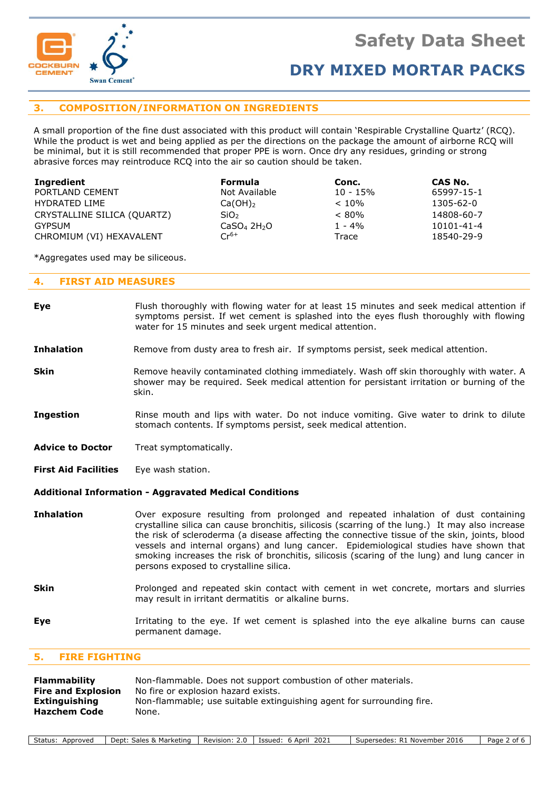

# **3. COMPOSITION/INFORMATION ON INGREDIENTS**

A small proportion of the fine dust associated with this product will contain 'Respirable Crystalline Quartz' (RCQ). While the product is wet and being applied as per the directions on the package the amount of airborne RCQ will be minimal, but it is still recommended that proper PPE is worn. Once dry any residues, grinding or strong abrasive forces may reintroduce RCQ into the air so caution should be taken.

| Ingredient                  | <b>Formula</b>                      | Conc.       | CAS No.    |
|-----------------------------|-------------------------------------|-------------|------------|
| PORTLAND CEMENT             | Not Available                       | $10 - 15\%$ | 65997-15-1 |
| HYDRATED LIME               | $Ca(OH)_2$                          | $< 10\%$    | 1305-62-0  |
| CRYSTALLINE SILICA (QUARTZ) | SiO <sub>2</sub>                    | $< 80\%$    | 14808-60-7 |
| GYPSUM                      | CaSO <sub>4</sub> 2H <sub>2</sub> O | $1 - 4\%$   | 10101-41-4 |
| CHROMIUM (VI) HEXAVALENT    | $Cr^{6+}$                           | Trace       | 18540-29-9 |

\*Aggregates used may be siliceous.

## **4. FIRST AID MEASURES**

- **Eye** Flush thoroughly with flowing water for at least 15 minutes and seek medical attention if symptoms persist. If wet cement is splashed into the eyes flush thoroughly with flowing water for 15 minutes and seek urgent medical attention.
- **Inhalation** Remove from dusty area to fresh air. If symptoms persist, seek medical attention.
- **Skin** Remove heavily contaminated clothing immediately. Wash off skin thoroughly with water. A shower may be required. Seek medical attention for persistant irritation or burning of the skin.
- **Ingestion** Rinse mouth and lips with water. Do not induce vomiting. Give water to drink to dilute stomach contents. If symptoms persist, seek medical attention.
- Advice to Doctor Treat symptomatically.
- **First Aid Facilities** Eye wash station.

### **Additional Information - Aggravated Medical Conditions**

- **Inhalation** Over exposure resulting from prolonged and repeated inhalation of dust containing crystalline silica can cause bronchitis, silicosis (scarring of the lung.) It may also increase the risk of scleroderma (a disease affecting the connective tissue of the skin, joints, blood vessels and internal organs) and lung cancer. Epidemiological studies have shown that smoking increases the risk of bronchitis, silicosis (scaring of the lung) and lung cancer in persons exposed to crystalline silica.
- **Skin** Prolonged and repeated skin contact with cement in wet concrete, mortars and slurries may result in irritant dermatitis or alkaline burns.
- **Eye I**rritating to the eye. If wet cement is splashed into the eye alkaline burns can cause permanent damage.

### **5. FIRE FIGHTING**

| Flammability              | Non-flammable. Does not support combustion of other materials.        |
|---------------------------|-----------------------------------------------------------------------|
| <b>Fire and Explosion</b> | No fire or explosion hazard exists.                                   |
| Extinguishing             | Non-flammable; use suitable extinguishing agent for surrounding fire. |
| <b>Hazchem Code</b>       | None.                                                                 |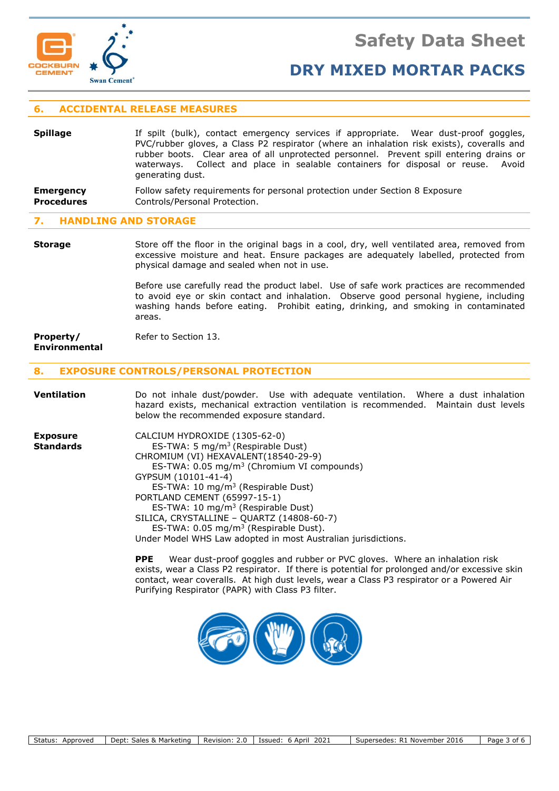

# **6. ACCIDENTAL RELEASE MEASURES**

| <b>Spillage</b>  | If spilt (bulk), contact emergency services if appropriate. Wear dust-proof goggles,<br>PVC/rubber gloves, a Class P2 respirator (where an inhalation risk exists), coveralls and<br>rubber boots. Clear area of all unprotected personnel. Prevent spill entering drains or<br>waterways. Collect and place in sealable containers for disposal or reuse. Avoid<br>generating dust. |
|------------------|--------------------------------------------------------------------------------------------------------------------------------------------------------------------------------------------------------------------------------------------------------------------------------------------------------------------------------------------------------------------------------------|
| <b>Emergency</b> | Follow safety requirements for personal protection under Section 8 Exposure                                                                                                                                                                                                                                                                                                          |

## **Procedures** Controls/Personal Protection.

## **7. HANDLING AND STORAGE**

**Storage** Store off the floor in the original bags in a cool, dry, well ventilated area, removed from excessive moisture and heat. Ensure packages are adequately labelled, protected from physical damage and sealed when not in use.

> Before use carefully read the product label. Use of safe work practices are recommended to avoid eye or skin contact and inhalation. Observe good personal hygiene, including washing hands before eating. Prohibit eating, drinking, and smoking in contaminated areas.

#### **Property/** Refer to Section 13. **Environmental**

## **8. EXPOSURE CONTROLS/PERSONAL PROTECTION**

| <b>Ventilation</b>                  | Do not inhale dust/powder. Use with adequate ventilation. Where a dust inhalation<br>hazard exists, mechanical extraction ventilation is recommended. Maintain dust levels<br>below the recommended exposure standard.                                                                                                                                                                                                                                                                     |
|-------------------------------------|--------------------------------------------------------------------------------------------------------------------------------------------------------------------------------------------------------------------------------------------------------------------------------------------------------------------------------------------------------------------------------------------------------------------------------------------------------------------------------------------|
| <b>Exposure</b><br><b>Standards</b> | CALCIUM HYDROXIDE (1305-62-0)<br>ES-TWA: 5 $mg/m3$ (Respirable Dust)<br>CHROMIUM (VI) HEXAVALENT (18540-29-9)<br>ES-TWA: 0.05 mg/m <sup>3</sup> (Chromium VI compounds)<br>GYPSUM (10101-41-4)<br>ES-TWA: 10 $mq/m3$ (Respirable Dust)<br>PORTLAND CEMENT (65997-15-1)<br>ES-TWA: 10 mg/m <sup>3</sup> (Respirable Dust)<br>SILICA, CRYSTALLINE - QUARTZ (14808-60-7)<br>ES-TWA: $0.05 \text{ mg/m}^3$ (Respirable Dust).<br>Under Model WHS Law adopted in most Australian jurisdictions. |

**PPE** Wear dust-proof goggles and rubber or PVC gloves. Where an inhalation risk exists, wear a Class P2 respirator. If there is potential for prolonged and/or excessive skin contact, wear coveralls. At high dust levels, wear a Class P3 respirator or a Powered Air Purifying Respirator (PAPR) with Class P3 filter.

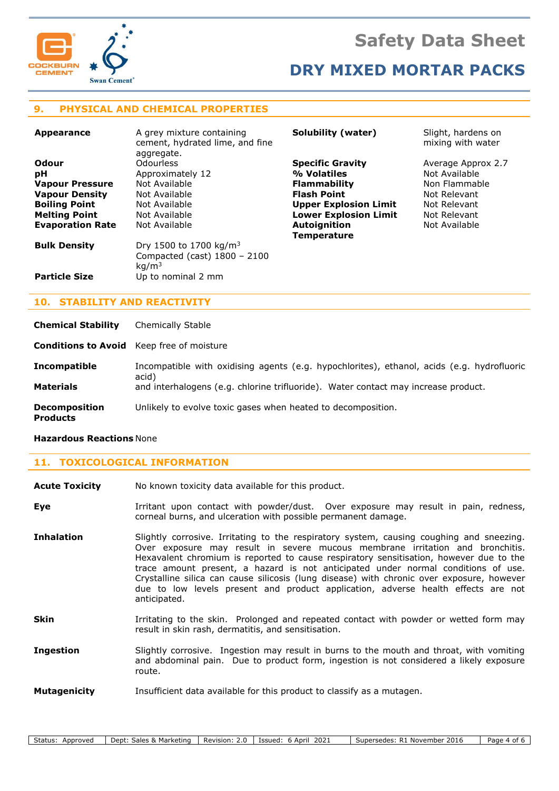



# **9. PHYSICAL AND CHEMICAL PROPERTIES**

| <b>Appearance</b>       | A grey mixture containing<br>cement, hydrated lime, and fine<br>aggregate. | Solubility (water)           | Slight, hardens on<br>mixing with water |
|-------------------------|----------------------------------------------------------------------------|------------------------------|-----------------------------------------|
| Odour                   | Odourless                                                                  | <b>Specific Gravity</b>      | Average Approx 2.7                      |
| рH                      | Approximately 12                                                           | % Volatiles                  | Not Available                           |
| <b>Vapour Pressure</b>  | Not Available                                                              | <b>Flammability</b>          | Non Flammable                           |
| <b>Vapour Density</b>   | Not Available                                                              | <b>Flash Point</b>           | Not Relevant                            |
| <b>Boiling Point</b>    | Not Available                                                              | <b>Upper Explosion Limit</b> | Not Relevant                            |
| <b>Melting Point</b>    | Not Available                                                              | <b>Lower Explosion Limit</b> | Not Relevant                            |
| <b>Evaporation Rate</b> | Not Available                                                              | <b>Autoignition</b>          | Not Available                           |
|                         |                                                                            | <b>Temperature</b>           |                                         |
| <b>Bulk Density</b>     | Dry 1500 to 1700 kg/m <sup>3</sup><br>Compacted (cast) $1800 - 2100$       |                              |                                         |
| <b>Particle Size</b>    | kg/m <sup>3</sup><br>Up to nominal 2 mm                                    |                              |                                         |

# **10. STABILITY AND REACTIVITY**

**Chemical Stability** Chemically Stable

**Conditions to Avoid** Keep free of moisture

**Incompatible** Incompatible with oxidising agents (e.g. hypochlorites), ethanol, acids (e.g. hydrofluoric acid) **Materials** and interhalogens (e.g. chlorine trifluoride). Water contact may increase product.

**Decomposition** Unlikely to evolve toxic gases when heated to decomposition.

**Products**

# **Hazardous Reactions** None

# **11. TOXICOLOGICAL INFORMATION**

| <b>Acute Toxicity</b> | No known toxicity data available for this product.                                                                                                                                                                                                                                                                                                                                                                                                                                                                                                         |
|-----------------------|------------------------------------------------------------------------------------------------------------------------------------------------------------------------------------------------------------------------------------------------------------------------------------------------------------------------------------------------------------------------------------------------------------------------------------------------------------------------------------------------------------------------------------------------------------|
| Eye                   | Irritant upon contact with powder/dust. Over exposure may result in pain, redness,<br>corneal burns, and ulceration with possible permanent damage.                                                                                                                                                                                                                                                                                                                                                                                                        |
| <b>Inhalation</b>     | Slightly corrosive. Irritating to the respiratory system, causing coughing and sneezing.<br>Over exposure may result in severe mucous membrane irritation and bronchitis.<br>Hexavalent chromium is reported to cause respiratory sensitisation, however due to the<br>trace amount present, a hazard is not anticipated under normal conditions of use.<br>Crystalline silica can cause silicosis (lung disease) with chronic over exposure, however<br>due to low levels present and product application, adverse health effects are not<br>anticipated. |
| <b>Skin</b>           | Irritating to the skin. Prolonged and repeated contact with powder or wetted form may<br>result in skin rash, dermatitis, and sensitisation.                                                                                                                                                                                                                                                                                                                                                                                                               |
| <b>Ingestion</b>      | Slightly corrosive. Ingestion may result in burns to the mouth and throat, with vomiting<br>and abdominal pain. Due to product form, ingestion is not considered a likely exposure<br>route.                                                                                                                                                                                                                                                                                                                                                               |
| <b>Mutagenicity</b>   | Insufficient data available for this product to classify as a mutagen.                                                                                                                                                                                                                                                                                                                                                                                                                                                                                     |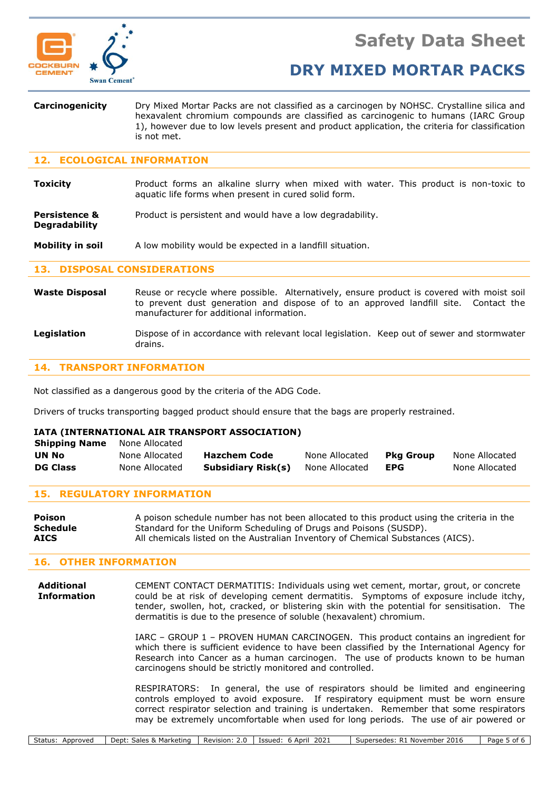

**Degradability**

# **DRY MIXED MORTAR PACKS**

**Carcinogenicity** Dry Mixed Mortar Packs are not classified as a carcinogen by NOHSC. Crystalline silica and hexavalent chromium compounds are classified as carcinogenic to humans (IARC Group 1), however due to low levels present and product application, the criteria for classification is not met.

## **12. ECOLOGICAL INFORMATION**

**Toxicity Product forms an alkaline slurry when mixed with water. This product is non-toxic to** aquatic life forms when present in cured solid form.

**Persistence &** Product is persistent and would have a low degradability.

**Mobility in soil** A low mobility would be expected in a landfill situation.

## **13. DISPOSAL CONSIDERATIONS**

- Waste Disposal Reuse or recycle where possible. Alternatively, ensure product is covered with moist soil to prevent dust generation and dispose of to an approved landfill site. Contact the manufacturer for additional information.
- **Legislation** Dispose of in accordance with relevant local legislation. Keep out of sewer and stormwater drains.

## **14. TRANSPORT INFORMATION**

Not classified as a dangerous good by the criteria of the ADG Code.

Drivers of trucks transporting bagged product should ensure that the bags are properly restrained.

## **IATA (INTERNATIONAL AIR TRANSPORT ASSOCIATION)**

| <b>DG Class</b>      | None Allocated | Subsidiary Risk(s)  | None Allocated | EPG       | None Allocated |
|----------------------|----------------|---------------------|----------------|-----------|----------------|
| UN No                | None Allocated | <b>Hazchem Code</b> | None Allocated | Pka Group | None Allocated |
| <b>Shipping Name</b> | None Allocated |                     |                |           |                |

## **15. REGULATORY INFORMATION**

| Poison          | A poison schedule number has not been allocated to this product using the criteria in the |
|-----------------|-------------------------------------------------------------------------------------------|
| <b>Schedule</b> | Standard for the Uniform Scheduling of Drugs and Poisons (SUSDP).                         |
| <b>AICS</b>     | All chemicals listed on the Australian Inventory of Chemical Substances (AICS).           |

### **16. OTHER INFORMATION**

**Additional** CEMENT CONTACT DERMATITIS: Individuals using wet cement, mortar, grout, or concrete **Information** could be at risk of developing cement dermatitis. Symptoms of exposure include itchy, tender, swollen, hot, cracked, or blistering skin with the potential for sensitisation. The dermatitis is due to the presence of soluble (hexavalent) chromium.

> IARC – GROUP 1 – PROVEN HUMAN CARCINOGEN. This product contains an ingredient for which there is sufficient evidence to have been classified by the International Agency for Research into Cancer as a human carcinogen. The use of products known to be human carcinogens should be strictly monitored and controlled.

> RESPIRATORS: In general, the use of respirators should be limited and engineering controls employed to avoid exposure. If respiratory equipment must be worn ensure correct respirator selection and training is undertaken. Remember that some respirators may be extremely uncomfortable when used for long periods. The use of air powered or